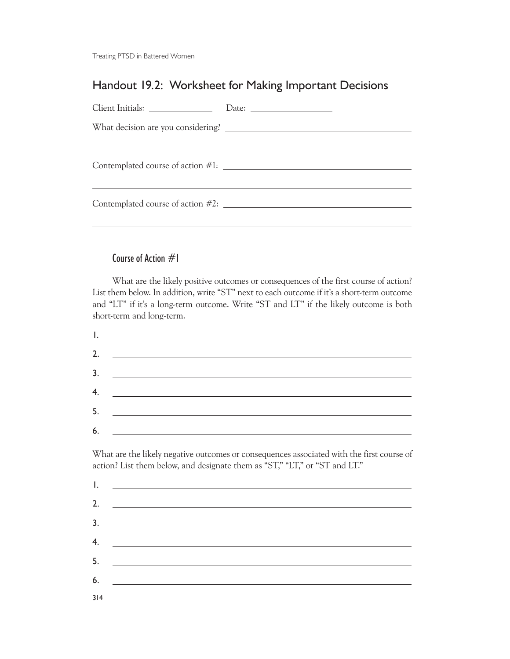Treating PTSD in Battered Women

## Handout 19.2: Worksheet for Making Important Decisions

| Date: $\qquad \qquad$                |
|--------------------------------------|
|                                      |
|                                      |
| Contemplated course of action #1:    |
|                                      |
| Contemplated course of action $#2$ : |
|                                      |

## Course of Action #1

What are the likely positive outcomes or consequences of the first course of action? List them below. In addition, write "ST" next to each outcome if it's a short-term outcome and "LT" if it's a long-term outcome. Write "ST and LT" if the likely outcome is both short-term and long-term.

|    | <u>Le proposition de la proposition de la proposition de la proposition de la proposition de la proposition de la proposition de la proposition de la proposition de la proposition de la proposition de la proposition de la pr</u> |
|----|--------------------------------------------------------------------------------------------------------------------------------------------------------------------------------------------------------------------------------------|
| 2. | <u> 1989 - Andrea Station Barbara, amerikan per</u>                                                                                                                                                                                  |
|    | $\overline{\mathbf{3.}}$                                                                                                                                                                                                             |
|    | 4. $\qquad \qquad$                                                                                                                                                                                                                   |
|    | 5. $\qquad \qquad$                                                                                                                                                                                                                   |
| 6. | <u> 1980 - John Stone, mars et al. (</u> † 1910)                                                                                                                                                                                     |

What are the likely negative outcomes or consequences associated with the first course of action? List them below, and designate them as "ST," "LT," or "ST and LT."

| ۱.  |  |
|-----|--|
| 2.  |  |
| 3.  |  |
| 4.  |  |
| 5.  |  |
| 6.  |  |
| 314 |  |